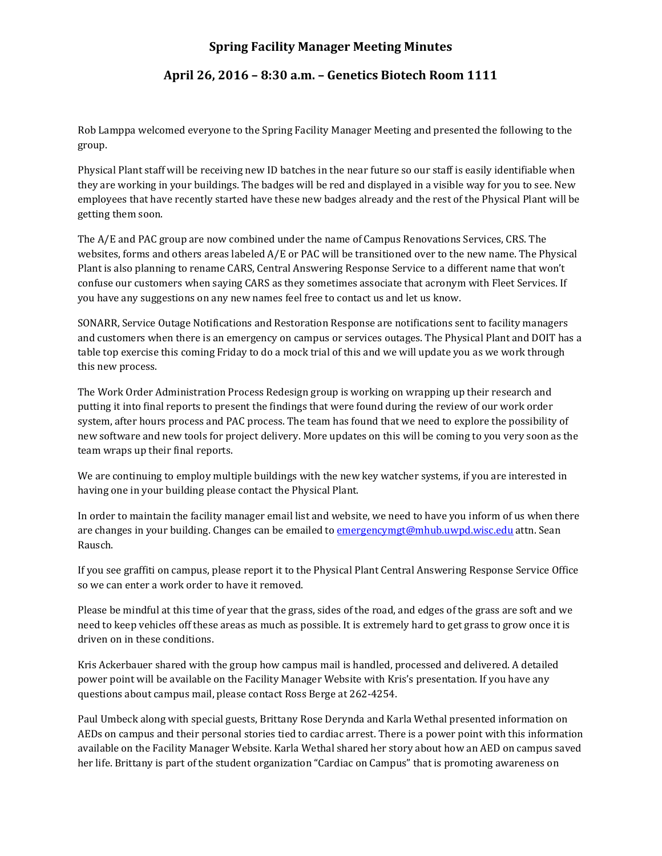## **Spring Facility Manager Meeting Minutes**

## **April 26, 2016 – 8:30 a.m. – Genetics Biotech Room 1111**

Rob Lamppa welcomed everyone to the Spring Facility Manager Meeting and presented the following to the group.

Physical Plant staff will be receiving new ID batches in the near future so our staff is easily identifiable when they are working in your buildings. The badges will be red and displayed in a visible way for you to see. New employees that have recently started have these new badges already and the rest of the Physical Plant will be getting them soon.

The A/E and PAC group are now combined under the name of Campus Renovations Services, CRS. The websites, forms and others areas labeled A/E or PAC will be transitioned over to the new name. The Physical Plant is also planning to rename CARS, Central Answering Response Service to a different name that won't confuse our customers when saying CARS as they sometimes associate that acronym with Fleet Services. If you have any suggestions on any new names feel free to contact us and let us know.

SONARR, Service Outage Notifications and Restoration Response are notifications sent to facility managers and customers when there is an emergency on campus or services outages. The Physical Plant and DOIT has a table top exercise this coming Friday to do a mock trial of this and we will update you as we work through this new process.

The Work Order Administration Process Redesign group is working on wrapping up their research and putting it into final reports to present the findings that were found during the review of our work order system, after hours process and PAC process. The team has found that we need to explore the possibility of new software and new tools for project delivery. More updates on this will be coming to you very soon as the team wraps up their final reports.

We are continuing to employ multiple buildings with the new key watcher systems, if you are interested in having one in your building please contact the Physical Plant.

In order to maintain the facility manager email list and website, we need to have you inform of us when there are changes in your building. Changes can be emailed to [emergencymgt@mhub.uwpd.wisc.edu](mailto:emergencymgt@mhub.uwpd.wisc.edu) attn. Sean Rausch.

If you see graffiti on campus, please report it to the Physical Plant Central Answering Response Service Office so we can enter a work order to have it removed.

Please be mindful at this time of year that the grass, sides of the road, and edges of the grass are soft and we need to keep vehicles off these areas as much as possible. It is extremely hard to get grass to grow once it is driven on in these conditions.

Kris Ackerbauer shared with the group how campus mail is handled, processed and delivered. A detailed power point will be available on the Facility Manager Website with Kris's presentation. If you have any questions about campus mail, please contact Ross Berge at 262-4254.

Paul Umbeck along with special guests, Brittany Rose Derynda and Karla Wethal presented information on AEDs on campus and their personal stories tied to cardiac arrest. There is a power point with this information available on the Facility Manager Website. Karla Wethal shared her story about how an AED on campus saved her life. Brittany is part of the student organization "Cardiac on Campus" that is promoting awareness on